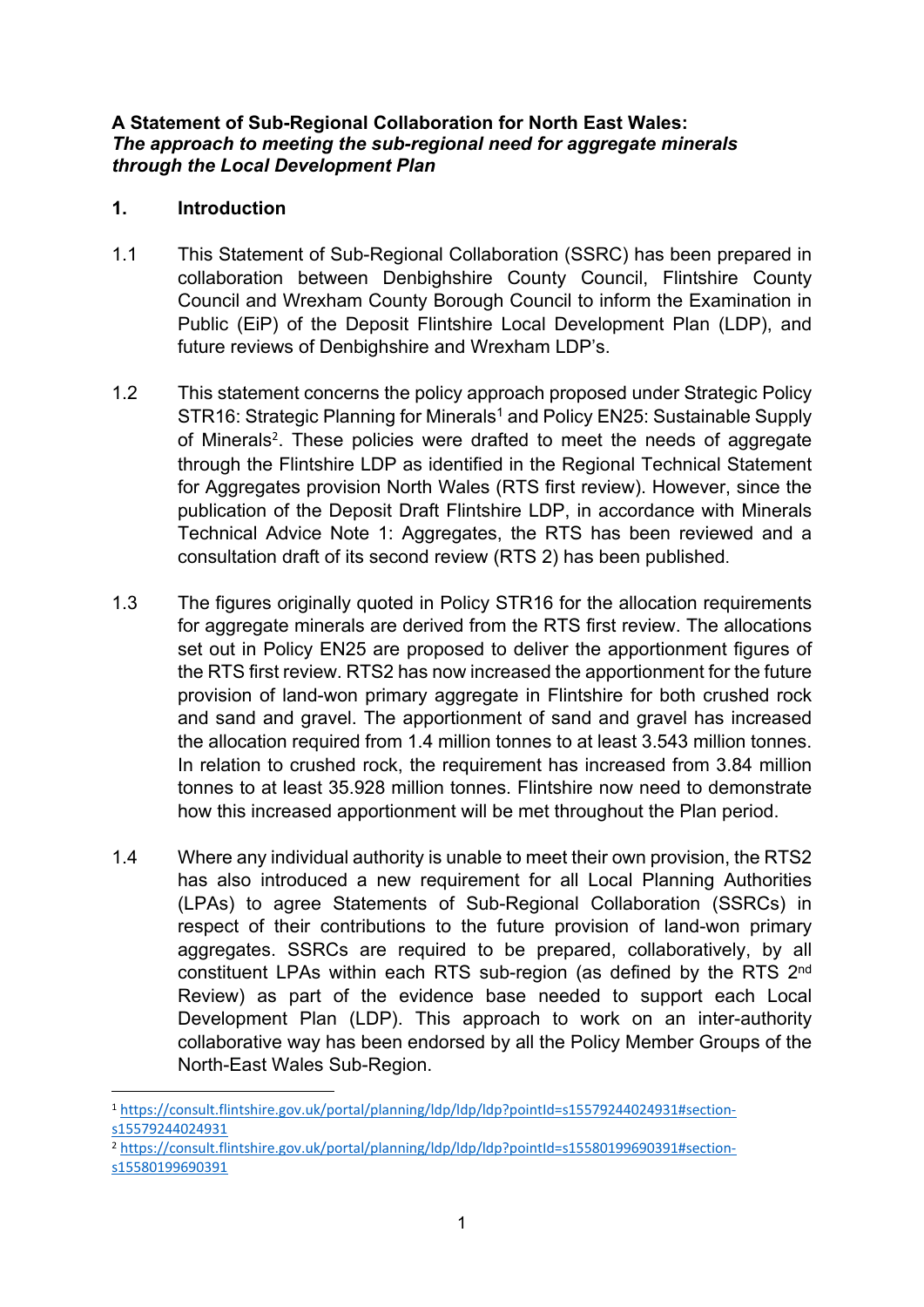#### **A Statement of Sub-Regional Collaboration for North East Wales:** *The approach to meeting the sub-regional need for aggregate minerals through the Local Development Plan*

# **1. Introduction**

- 1.1 This Statement of Sub-Regional Collaboration (SSRC) has been prepared in collaboration between Denbighshire County Council, Flintshire County Council and Wrexham County Borough Council to inform the Examination in Public (EiP) of the Deposit Flintshire Local Development Plan (LDP), and future reviews of Denbighshire and Wrexham LDP's.
- 1.2 This statement concerns the policy approach proposed under Strategic Policy STR16: Strategic Planning for Minerals<sup>1</sup> and Policy EN25: Sustainable Supply of Minerals<sup>2</sup>. These policies were drafted to meet the needs of aggregate through the Flintshire LDP as identified in the Regional Technical Statement for Aggregates provision North Wales (RTS first review). However, since the publication of the Deposit Draft Flintshire LDP, in accordance with Minerals Technical Advice Note 1: Aggregates, the RTS has been reviewed and a consultation draft of its second review (RTS 2) has been published.
- 1.3 The figures originally quoted in Policy STR16 for the allocation requirements for aggregate minerals are derived from the RTS first review. The allocations set out in Policy EN25 are proposed to deliver the apportionment figures of the RTS first review. RTS2 has now increased the apportionment for the future provision of land-won primary aggregate in Flintshire for both crushed rock and sand and gravel. The apportionment of sand and gravel has increased the allocation required from 1.4 million tonnes to at least 3.543 million tonnes. In relation to crushed rock, the requirement has increased from 3.84 million tonnes to at least 35.928 million tonnes. Flintshire now need to demonstrate how this increased apportionment will be met throughout the Plan period.
- 1.4 Where any individual authority is unable to meet their own provision, the RTS2 has also introduced a new requirement for all Local Planning Authorities (LPAs) to agree Statements of Sub-Regional Collaboration (SSRCs) in respect of their contributions to the future provision of land-won primary aggregates. SSRCs are required to be prepared, collaboratively, by all constituent LPAs within each RTS sub-region (as defined by the RTS 2<sup>nd</sup> Review) as part of the evidence base needed to support each Local Development Plan (LDP). This approach to work on an inter-authority collaborative way has been endorsed by all the Policy Member Groups of the North-East Wales Sub-Region.

<sup>2</sup> [https://consult.flintshire.gov.uk/portal/planning/ldp/ldp/ldp?pointId=s15580199690391#section](https://consult.flintshire.gov.uk/portal/planning/ldp/ldp/ldp?pointId=s15580199690391#section-s15580199690391)[s15580199690391](https://consult.flintshire.gov.uk/portal/planning/ldp/ldp/ldp?pointId=s15580199690391#section-s15580199690391)

<sup>1</sup> [https://consult.flintshire.gov.uk/portal/planning/ldp/ldp/ldp?pointId=s15579244024931#section](https://consult.flintshire.gov.uk/portal/planning/ldp/ldp/ldp?pointId=s15579244024931#section-s15579244024931)[s15579244024931](https://consult.flintshire.gov.uk/portal/planning/ldp/ldp/ldp?pointId=s15579244024931#section-s15579244024931)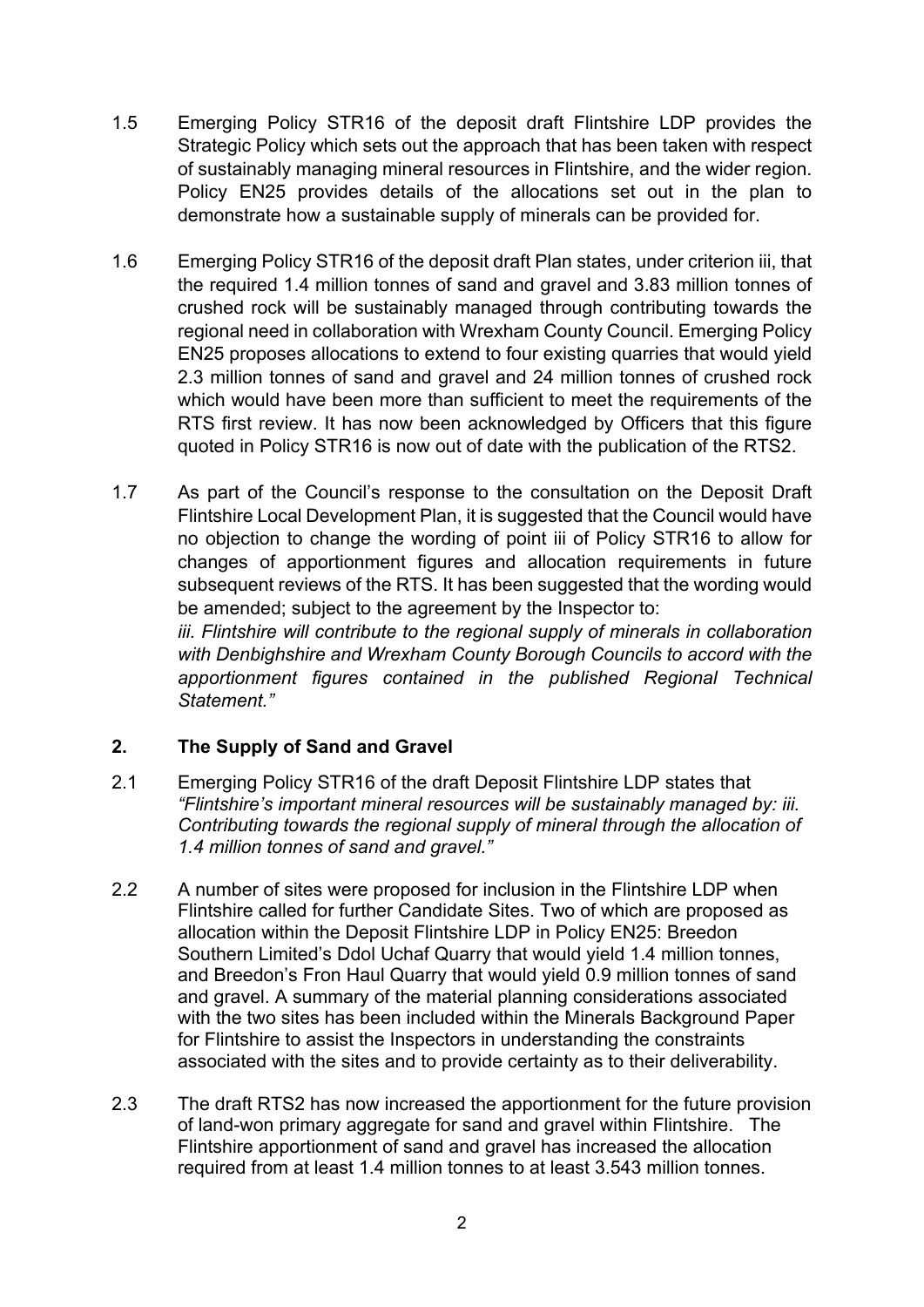- 1.5 Emerging Policy STR16 of the deposit draft Flintshire LDP provides the Strategic Policy which sets out the approach that has been taken with respect of sustainably managing mineral resources in Flintshire, and the wider region. Policy EN25 provides details of the allocations set out in the plan to demonstrate how a sustainable supply of minerals can be provided for.
- 1.6 Emerging Policy STR16 of the deposit draft Plan states, under criterion iii, that the required 1.4 million tonnes of sand and gravel and 3.83 million tonnes of crushed rock will be sustainably managed through contributing towards the regional need in collaboration with Wrexham County Council. Emerging Policy EN25 proposes allocations to extend to four existing quarries that would yield 2.3 million tonnes of sand and gravel and 24 million tonnes of crushed rock which would have been more than sufficient to meet the requirements of the RTS first review. It has now been acknowledged by Officers that this figure quoted in Policy STR16 is now out of date with the publication of the RTS2.
- 1.7 As part of the Council's response to the consultation on the Deposit Draft Flintshire Local Development Plan, it is suggested that the Council would have no objection to change the wording of point iii of Policy STR16 to allow for changes of apportionment figures and allocation requirements in future subsequent reviews of the RTS. It has been suggested that the wording would be amended; subject to the agreement by the Inspector to:

*iii. Flintshire will contribute to the regional supply of minerals in collaboration with Denbighshire and Wrexham County Borough Councils to accord with the apportionment figures contained in the published Regional Technical Statement."*

### **2. The Supply of Sand and Gravel**

- 2.1 Emerging Policy STR16 of the draft Deposit Flintshire LDP states that *"Flintshire's important mineral resources will be sustainably managed by: iii. Contributing towards the regional supply of mineral through the allocation of 1.4 million tonnes of sand and gravel."*
- 2.2 A number of sites were proposed for inclusion in the Flintshire LDP when Flintshire called for further Candidate Sites. Two of which are proposed as allocation within the Deposit Flintshire LDP in Policy EN25: Breedon Southern Limited's Ddol Uchaf Quarry that would yield 1.4 million tonnes, and Breedon's Fron Haul Quarry that would yield 0.9 million tonnes of sand and gravel. A summary of the material planning considerations associated with the two sites has been included within the Minerals Background Paper for Flintshire to assist the Inspectors in understanding the constraints associated with the sites and to provide certainty as to their deliverability.
- 2.3 The draft RTS2 has now increased the apportionment for the future provision of land-won primary aggregate for sand and gravel within Flintshire. The Flintshire apportionment of sand and gravel has increased the allocation required from at least 1.4 million tonnes to at least 3.543 million tonnes.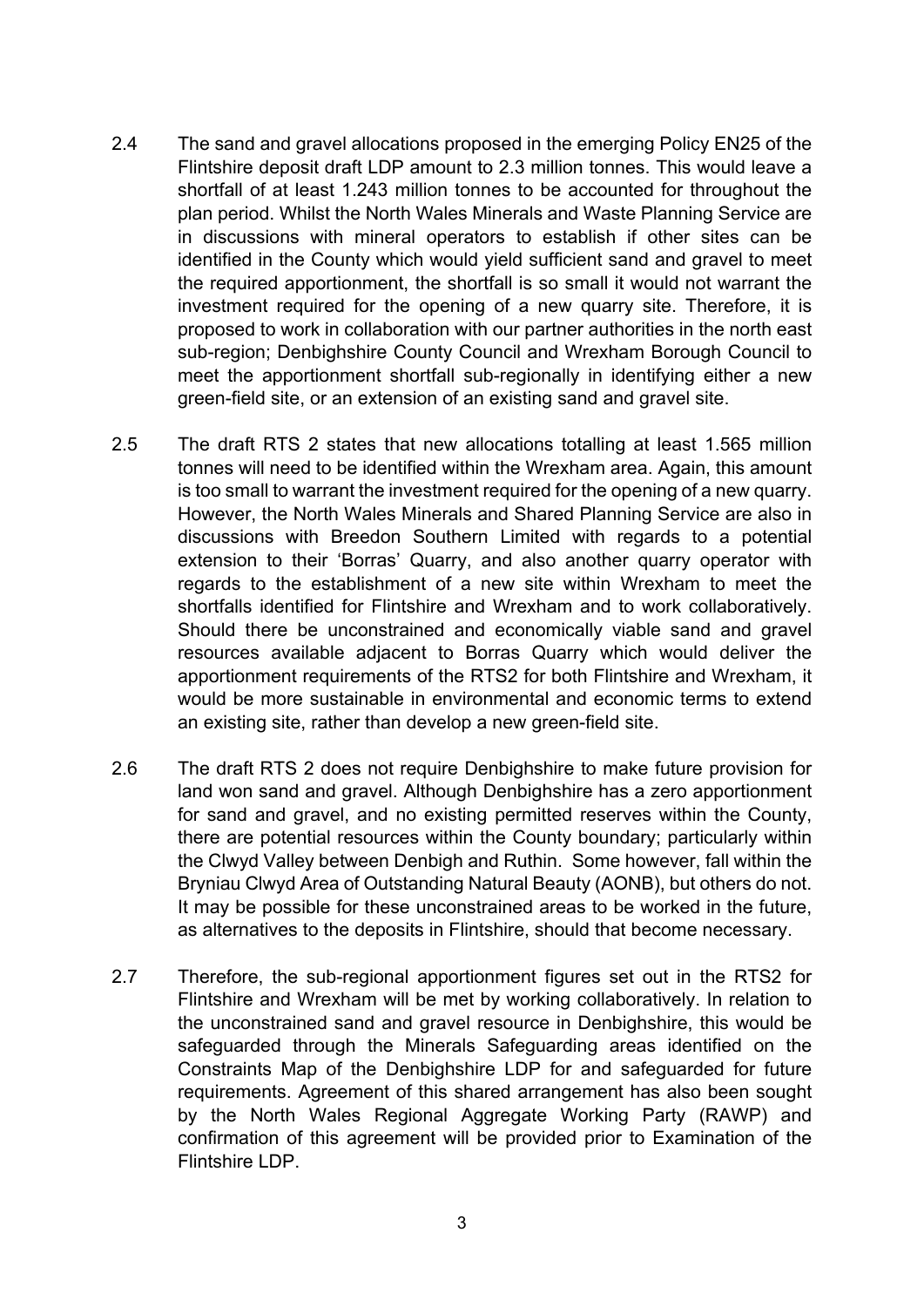- 2.4 The sand and gravel allocations proposed in the emerging Policy EN25 of the Flintshire deposit draft LDP amount to 2.3 million tonnes. This would leave a shortfall of at least 1.243 million tonnes to be accounted for throughout the plan period. Whilst the North Wales Minerals and Waste Planning Service are in discussions with mineral operators to establish if other sites can be identified in the County which would yield sufficient sand and gravel to meet the required apportionment, the shortfall is so small it would not warrant the investment required for the opening of a new quarry site. Therefore, it is proposed to work in collaboration with our partner authorities in the north east sub-region; Denbighshire County Council and Wrexham Borough Council to meet the apportionment shortfall sub-regionally in identifying either a new green-field site, or an extension of an existing sand and gravel site.
- 2.5 The draft RTS 2 states that new allocations totalling at least 1.565 million tonnes will need to be identified within the Wrexham area. Again, this amount is too small to warrant the investment required for the opening of a new quarry. However, the North Wales Minerals and Shared Planning Service are also in discussions with Breedon Southern Limited with regards to a potential extension to their 'Borras' Quarry, and also another quarry operator with regards to the establishment of a new site within Wrexham to meet the shortfalls identified for Flintshire and Wrexham and to work collaboratively. Should there be unconstrained and economically viable sand and gravel resources available adjacent to Borras Quarry which would deliver the apportionment requirements of the RTS2 for both Flintshire and Wrexham, it would be more sustainable in environmental and economic terms to extend an existing site, rather than develop a new green-field site.
- 2.6 The draft RTS 2 does not require Denbighshire to make future provision for land won sand and gravel. Although Denbighshire has a zero apportionment for sand and gravel, and no existing permitted reserves within the County, there are potential resources within the County boundary; particularly within the Clwyd Valley between Denbigh and Ruthin. Some however, fall within the Bryniau Clwyd Area of Outstanding Natural Beauty (AONB), but others do not. It may be possible for these unconstrained areas to be worked in the future, as alternatives to the deposits in Flintshire, should that become necessary.
- 2.7 Therefore, the sub-regional apportionment figures set out in the RTS2 for Flintshire and Wrexham will be met by working collaboratively. In relation to the unconstrained sand and gravel resource in Denbighshire, this would be safeguarded through the Minerals Safeguarding areas identified on the Constraints Map of the Denbighshire LDP for and safeguarded for future requirements. Agreement of this shared arrangement has also been sought by the North Wales Regional Aggregate Working Party (RAWP) and confirmation of this agreement will be provided prior to Examination of the Flintshire LDP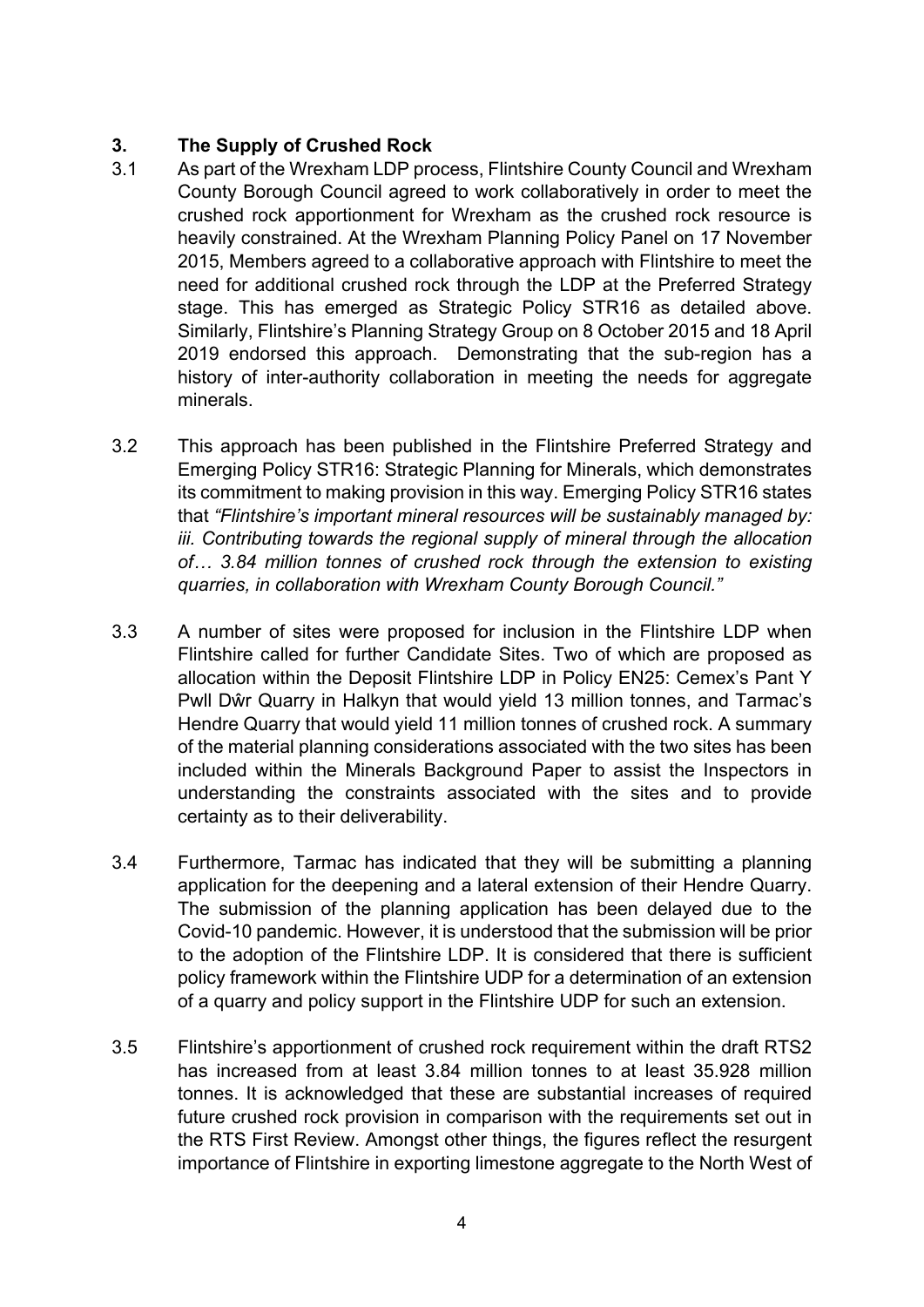# **3. The Supply of Crushed Rock**

- 3.1 As part of the Wrexham LDP process, Flintshire County Council and Wrexham County Borough Council agreed to work collaboratively in order to meet the crushed rock apportionment for Wrexham as the crushed rock resource is heavily constrained. At the Wrexham Planning Policy Panel on 17 November 2015, Members agreed to a collaborative approach with Flintshire to meet the need for additional crushed rock through the LDP at the Preferred Strategy stage. This has emerged as Strategic Policy STR16 as detailed above. Similarly, Flintshire's Planning Strategy Group on 8 October 2015 and 18 April 2019 endorsed this approach. Demonstrating that the sub-region has a history of inter-authority collaboration in meeting the needs for aggregate minerals.
- 3.2 This approach has been published in the Flintshire Preferred Strategy and Emerging Policy STR16: Strategic Planning for Minerals, which demonstrates its commitment to making provision in this way. Emerging Policy STR16 states that *"Flintshire's important mineral resources will be sustainably managed by: iii. Contributing towards the regional supply of mineral through the allocation of… 3.84 million tonnes of crushed rock through the extension to existing quarries, in collaboration with Wrexham County Borough Council."*
- 3.3 A number of sites were proposed for inclusion in the Flintshire LDP when Flintshire called for further Candidate Sites. Two of which are proposed as allocation within the Deposit Flintshire LDP in Policy EN25: Cemex's Pant Y Pwll Dŵr Quarry in Halkyn that would yield 13 million tonnes, and Tarmac's Hendre Quarry that would yield 11 million tonnes of crushed rock. A summary of the material planning considerations associated with the two sites has been included within the Minerals Background Paper to assist the Inspectors in understanding the constraints associated with the sites and to provide certainty as to their deliverability.
- 3.4 Furthermore, Tarmac has indicated that they will be submitting a planning application for the deepening and a lateral extension of their Hendre Quarry. The submission of the planning application has been delayed due to the Covid-10 pandemic. However, it is understood that the submission will be prior to the adoption of the Flintshire LDP. It is considered that there is sufficient policy framework within the Flintshire UDP for a determination of an extension of a quarry and policy support in the Flintshire UDP for such an extension.
- 3.5 Flintshire's apportionment of crushed rock requirement within the draft RTS2 has increased from at least 3.84 million tonnes to at least 35.928 million tonnes. It is acknowledged that these are substantial increases of required future crushed rock provision in comparison with the requirements set out in the RTS First Review. Amongst other things, the figures reflect the resurgent importance of Flintshire in exporting limestone aggregate to the North West of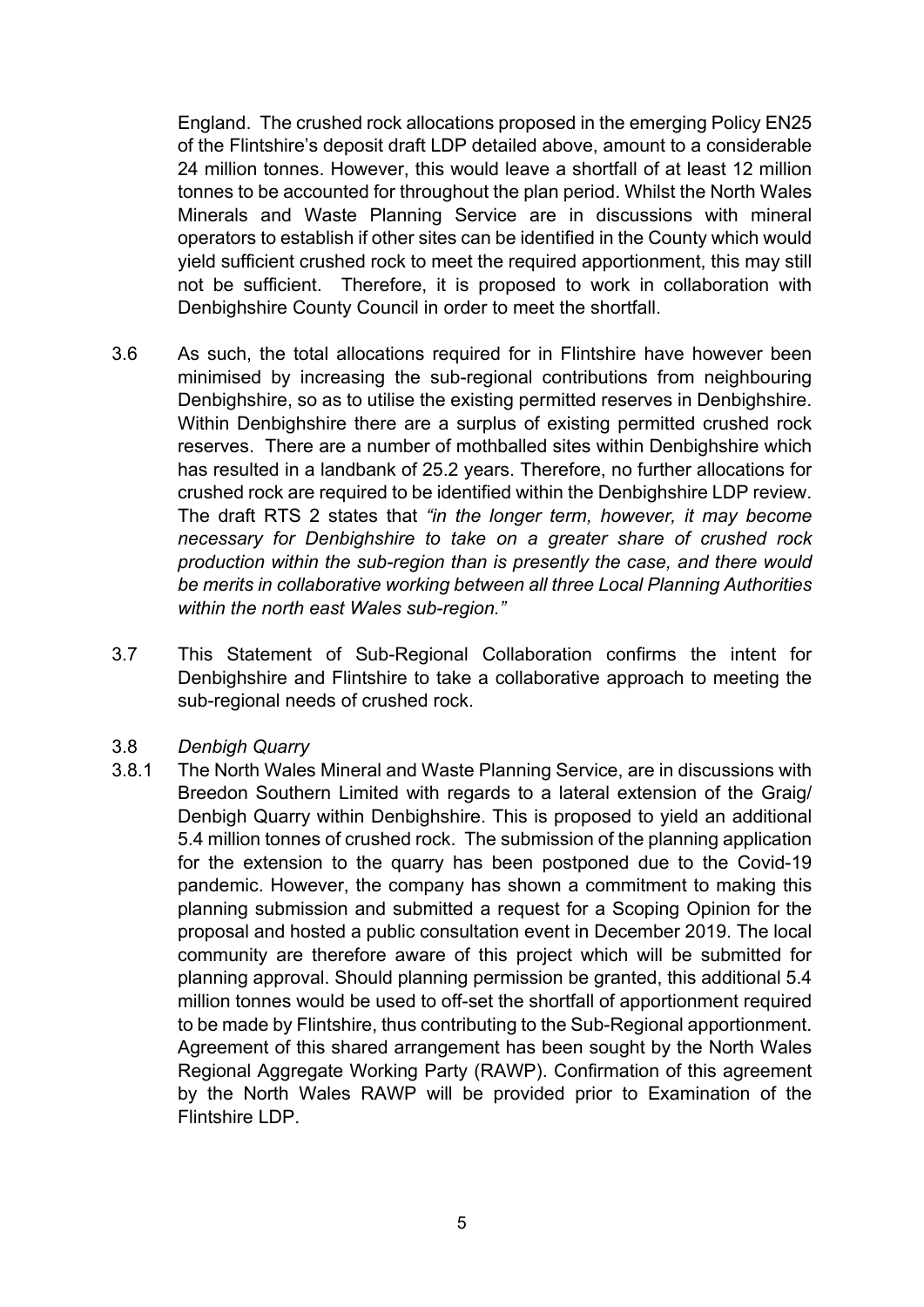England. The crushed rock allocations proposed in the emerging Policy EN25 of the Flintshire's deposit draft LDP detailed above, amount to a considerable 24 million tonnes. However, this would leave a shortfall of at least 12 million tonnes to be accounted for throughout the plan period. Whilst the North Wales Minerals and Waste Planning Service are in discussions with mineral operators to establish if other sites can be identified in the County which would yield sufficient crushed rock to meet the required apportionment, this may still not be sufficient. Therefore, it is proposed to work in collaboration with Denbighshire County Council in order to meet the shortfall.

- 3.6 As such, the total allocations required for in Flintshire have however been minimised by increasing the sub-regional contributions from neighbouring Denbighshire, so as to utilise the existing permitted reserves in Denbighshire. Within Denbighshire there are a surplus of existing permitted crushed rock reserves. There are a number of mothballed sites within Denbighshire which has resulted in a landbank of 25.2 years. Therefore, no further allocations for crushed rock are required to be identified within the Denbighshire LDP review. The draft RTS 2 states that *"in the longer term, however, it may become necessary for Denbighshire to take on a greater share of crushed rock production within the sub-region than is presently the case, and there would be merits in collaborative working between all three Local Planning Authorities within the north east Wales sub-region."*
- 3.7 This Statement of Sub-Regional Collaboration confirms the intent for Denbighshire and Flintshire to take a collaborative approach to meeting the sub-regional needs of crushed rock.
- 3.8 *Denbigh Quarry*
- 3.8.1 The North Wales Mineral and Waste Planning Service, are in discussions with Breedon Southern Limited with regards to a lateral extension of the Graig/ Denbigh Quarry within Denbighshire. This is proposed to yield an additional 5.4 million tonnes of crushed rock. The submission of the planning application for the extension to the quarry has been postponed due to the Covid-19 pandemic. However, the company has shown a commitment to making this planning submission and submitted a request for a Scoping Opinion for the proposal and hosted a public consultation event in December 2019. The local community are therefore aware of this project which will be submitted for planning approval. Should planning permission be granted, this additional 5.4 million tonnes would be used to off-set the shortfall of apportionment required to be made by Flintshire, thus contributing to the Sub-Regional apportionment. Agreement of this shared arrangement has been sought by the North Wales Regional Aggregate Working Party (RAWP). Confirmation of this agreement by the North Wales RAWP will be provided prior to Examination of the Flintshire LDP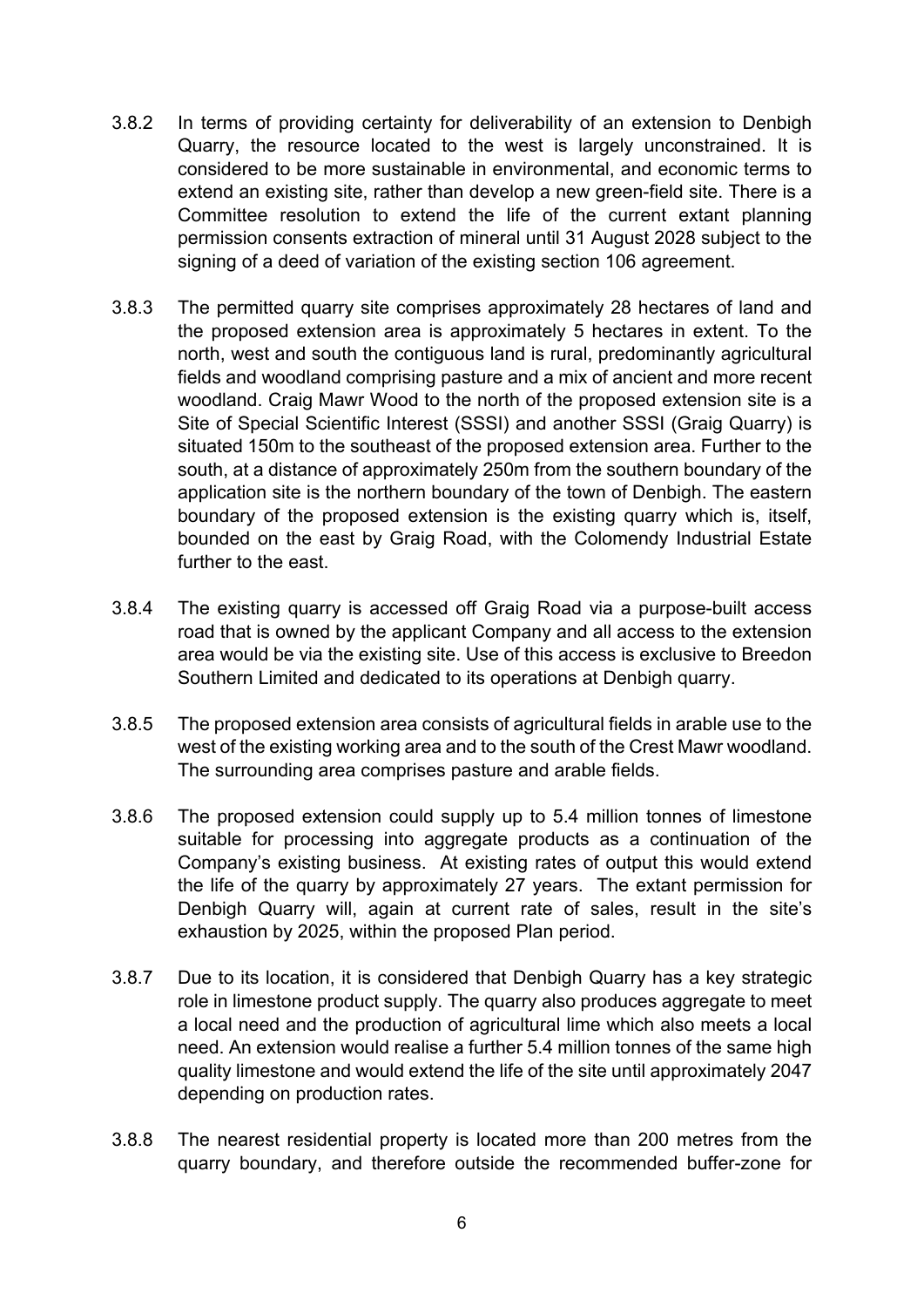- 3.8.2 In terms of providing certainty for deliverability of an extension to Denbigh Quarry, the resource located to the west is largely unconstrained. It is considered to be more sustainable in environmental, and economic terms to extend an existing site, rather than develop a new green-field site. There is a Committee resolution to extend the life of the current extant planning permission consents extraction of mineral until 31 August 2028 subject to the signing of a deed of variation of the existing section 106 agreement.
- 3.8.3 The permitted quarry site comprises approximately 28 hectares of land and the proposed extension area is approximately 5 hectares in extent. To the north, west and south the contiguous land is rural, predominantly agricultural fields and woodland comprising pasture and a mix of ancient and more recent woodland. Craig Mawr Wood to the north of the proposed extension site is a Site of Special Scientific Interest (SSSI) and another SSSI (Graig Quarry) is situated 150m to the southeast of the proposed extension area. Further to the south, at a distance of approximately 250m from the southern boundary of the application site is the northern boundary of the town of Denbigh. The eastern boundary of the proposed extension is the existing quarry which is, itself, bounded on the east by Graig Road, with the Colomendy Industrial Estate further to the east.
- 3.8.4 The existing quarry is accessed off Graig Road via a purpose-built access road that is owned by the applicant Company and all access to the extension area would be via the existing site. Use of this access is exclusive to Breedon Southern Limited and dedicated to its operations at Denbigh quarry.
- 3.8.5 The proposed extension area consists of agricultural fields in arable use to the west of the existing working area and to the south of the Crest Mawr woodland. The surrounding area comprises pasture and arable fields.
- 3.8.6 The proposed extension could supply up to 5.4 million tonnes of limestone suitable for processing into aggregate products as a continuation of the Company's existing business. At existing rates of output this would extend the life of the quarry by approximately 27 years. The extant permission for Denbigh Quarry will, again at current rate of sales, result in the site's exhaustion by 2025, within the proposed Plan period.
- 3.8.7 Due to its location, it is considered that Denbigh Quarry has a key strategic role in limestone product supply. The quarry also produces aggregate to meet a local need and the production of agricultural lime which also meets a local need. An extension would realise a further 5.4 million tonnes of the same high quality limestone and would extend the life of the site until approximately 2047 depending on production rates.
- 3.8.8 The nearest residential property is located more than 200 metres from the quarry boundary, and therefore outside the recommended buffer-zone for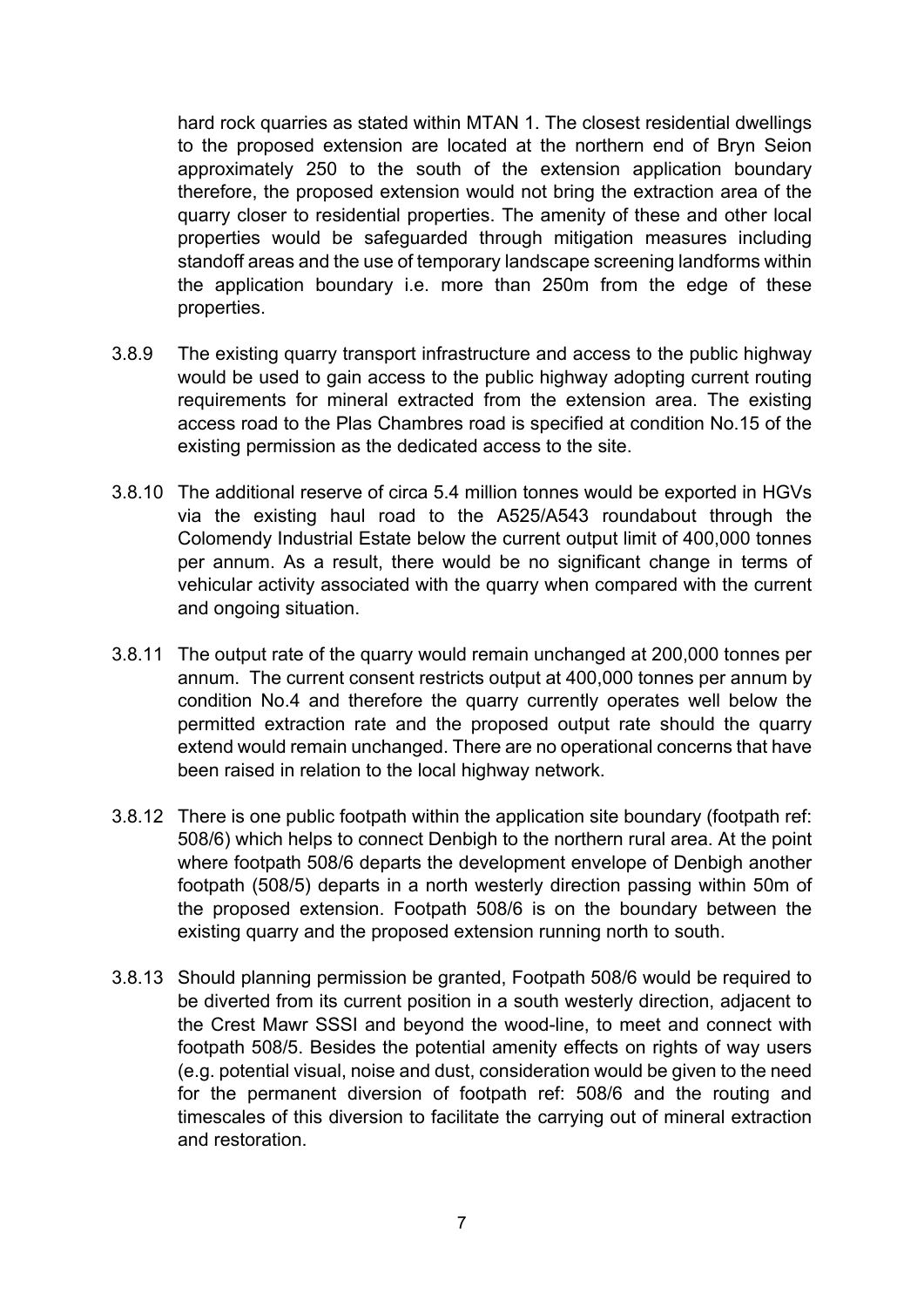hard rock quarries as stated within MTAN 1. The closest residential dwellings to the proposed extension are located at the northern end of Bryn Seion approximately 250 to the south of the extension application boundary therefore, the proposed extension would not bring the extraction area of the quarry closer to residential properties. The amenity of these and other local properties would be safeguarded through mitigation measures including standoff areas and the use of temporary landscape screening landforms within the application boundary i.e. more than 250m from the edge of these properties.

- 3.8.9 The existing quarry transport infrastructure and access to the public highway would be used to gain access to the public highway adopting current routing requirements for mineral extracted from the extension area. The existing access road to the Plas Chambres road is specified at condition No.15 of the existing permission as the dedicated access to the site.
- 3.8.10 The additional reserve of circa 5.4 million tonnes would be exported in HGVs via the existing haul road to the A525/A543 roundabout through the Colomendy Industrial Estate below the current output limit of 400,000 tonnes per annum. As a result, there would be no significant change in terms of vehicular activity associated with the quarry when compared with the current and ongoing situation.
- 3.8.11 The output rate of the quarry would remain unchanged at 200,000 tonnes per annum. The current consent restricts output at 400,000 tonnes per annum by condition No.4 and therefore the quarry currently operates well below the permitted extraction rate and the proposed output rate should the quarry extend would remain unchanged. There are no operational concerns that have been raised in relation to the local highway network.
- 3.8.12 There is one public footpath within the application site boundary (footpath ref: 508/6) which helps to connect Denbigh to the northern rural area. At the point where footpath 508/6 departs the development envelope of Denbigh another footpath (508/5) departs in a north westerly direction passing within 50m of the proposed extension. Footpath 508/6 is on the boundary between the existing quarry and the proposed extension running north to south.
- 3.8.13 Should planning permission be granted, Footpath 508/6 would be required to be diverted from its current position in a south westerly direction, adjacent to the Crest Mawr SSSI and beyond the wood-line, to meet and connect with footpath 508/5. Besides the potential amenity effects on rights of way users (e.g. potential visual, noise and dust, consideration would be given to the need for the permanent diversion of footpath ref: 508/6 and the routing and timescales of this diversion to facilitate the carrying out of mineral extraction and restoration.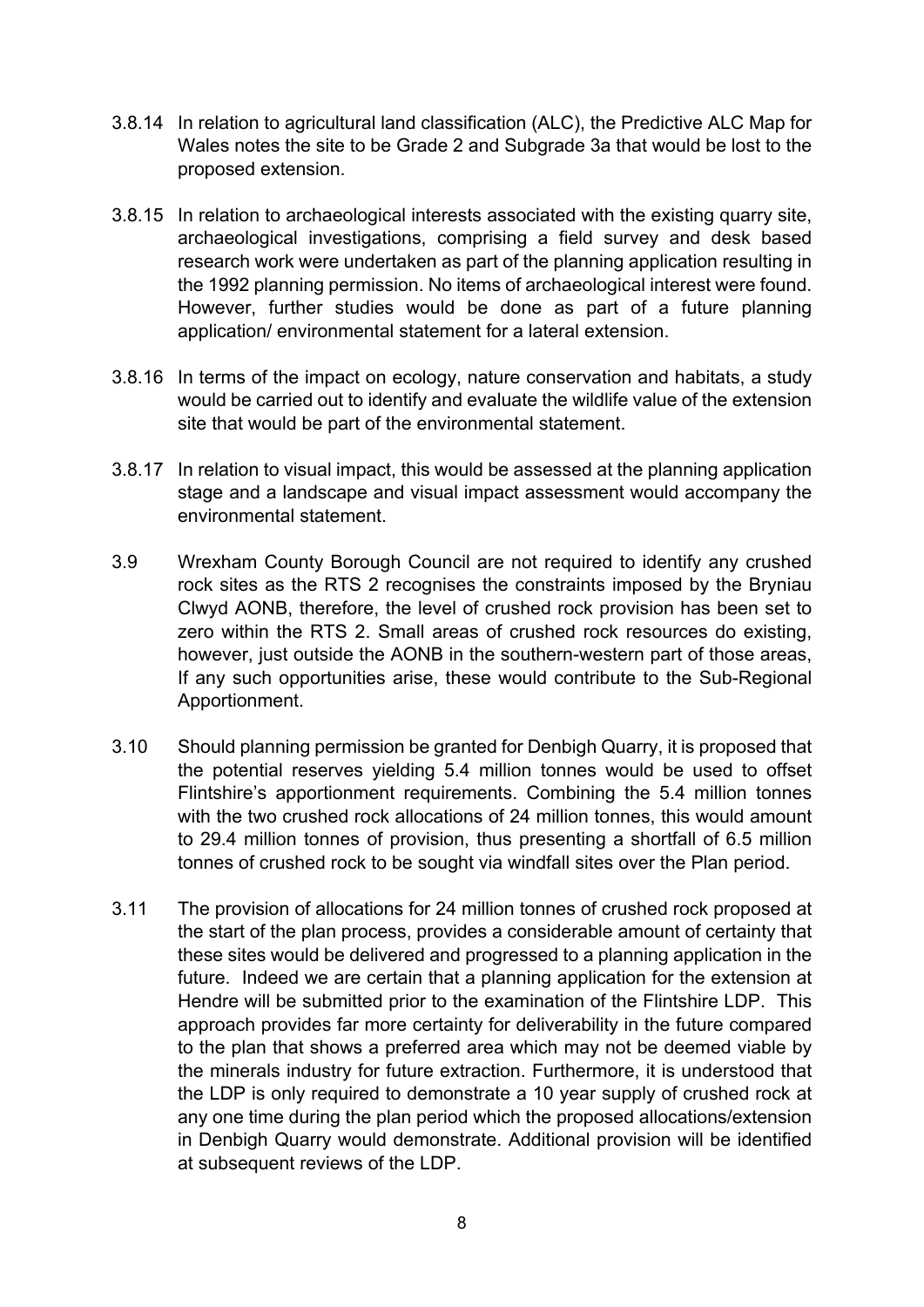- 3.8.14 In relation to agricultural land classification (ALC), the Predictive ALC Map for Wales notes the site to be Grade 2 and Subgrade 3a that would be lost to the proposed extension.
- 3.8.15 In relation to archaeological interests associated with the existing quarry site, archaeological investigations, comprising a field survey and desk based research work were undertaken as part of the planning application resulting in the 1992 planning permission. No items of archaeological interest were found. However, further studies would be done as part of a future planning application/ environmental statement for a lateral extension.
- 3.8.16 In terms of the impact on ecology, nature conservation and habitats, a study would be carried out to identify and evaluate the wildlife value of the extension site that would be part of the environmental statement.
- 3.8.17 In relation to visual impact, this would be assessed at the planning application stage and a landscape and visual impact assessment would accompany the environmental statement.
- 3.9 Wrexham County Borough Council are not required to identify any crushed rock sites as the RTS 2 recognises the constraints imposed by the Bryniau Clwyd AONB, therefore, the level of crushed rock provision has been set to zero within the RTS 2. Small areas of crushed rock resources do existing, however, just outside the AONB in the southern-western part of those areas, If any such opportunities arise, these would contribute to the Sub-Regional Apportionment.
- 3.10 Should planning permission be granted for Denbigh Quarry, it is proposed that the potential reserves yielding 5.4 million tonnes would be used to offset Flintshire's apportionment requirements. Combining the 5.4 million tonnes with the two crushed rock allocations of 24 million tonnes, this would amount to 29.4 million tonnes of provision, thus presenting a shortfall of 6.5 million tonnes of crushed rock to be sought via windfall sites over the Plan period.
- 3.11 The provision of allocations for 24 million tonnes of crushed rock proposed at the start of the plan process, provides a considerable amount of certainty that these sites would be delivered and progressed to a planning application in the future. Indeed we are certain that a planning application for the extension at Hendre will be submitted prior to the examination of the Flintshire LDP. This approach provides far more certainty for deliverability in the future compared to the plan that shows a preferred area which may not be deemed viable by the minerals industry for future extraction. Furthermore, it is understood that the LDP is only required to demonstrate a 10 year supply of crushed rock at any one time during the plan period which the proposed allocations/extension in Denbigh Quarry would demonstrate. Additional provision will be identified at subsequent reviews of the LDP.